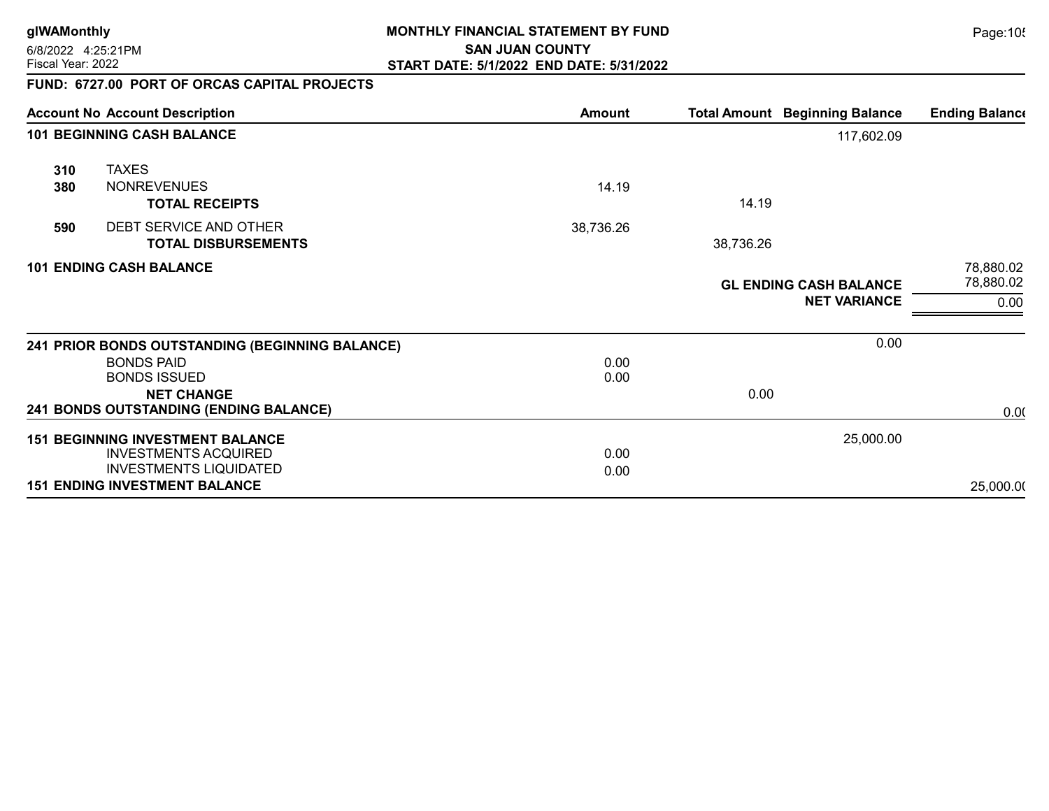6/8/2022 4:25:21PM

### **glWAMonthly** Page:105 **MONTHLY FINANCIAL STATEMENT BY FUND SAN JUAN COUNTY** Fiscal Year: 2022 **START DATE: 5/1/2022 END DATE: 5/31/2022**

## FUND: 6727.00 PORT OF ORCAS CAPITAL PROJECTS

|                                   | <b>Account No Account Description</b>                                                                   | Amount       |           | <b>Total Amount Beginning Balance</b>                | <b>Ending Balance</b>          |
|-----------------------------------|---------------------------------------------------------------------------------------------------------|--------------|-----------|------------------------------------------------------|--------------------------------|
| <b>101 BEGINNING CASH BALANCE</b> |                                                                                                         |              |           |                                                      |                                |
| 310<br>380                        | <b>TAXES</b><br><b>NONREVENUES</b><br><b>TOTAL RECEIPTS</b>                                             | 14.19        | 14.19     |                                                      |                                |
| 590                               | DEBT SERVICE AND OTHER<br><b>TOTAL DISBURSEMENTS</b>                                                    | 38,736.26    | 38,736.26 |                                                      |                                |
| <b>101 ENDING CASH BALANCE</b>    |                                                                                                         |              |           | <b>GL ENDING CASH BALANCE</b><br><b>NET VARIANCE</b> | 78,880.02<br>78,880.02<br>0.00 |
|                                   | 241 PRIOR BONDS OUTSTANDING (BEGINNING BALANCE)                                                         |              |           | 0.00                                                 |                                |
|                                   | <b>BONDS PAID</b><br><b>BONDS ISSUED</b><br><b>NET CHANGE</b>                                           | 0.00<br>0.00 | 0.00      |                                                      |                                |
|                                   | 241 BONDS OUTSTANDING (ENDING BALANCE)                                                                  |              |           |                                                      | 0.00                           |
|                                   | <b>151 BEGINNING INVESTMENT BALANCE</b><br><b>INVESTMENTS ACQUIRED</b><br><b>INVESTMENTS LIQUIDATED</b> | 0.00<br>0.00 |           | 25,000.00                                            |                                |
|                                   | <b>151 ENDING INVESTMENT BALANCE</b>                                                                    |              |           |                                                      | 25,000.00                      |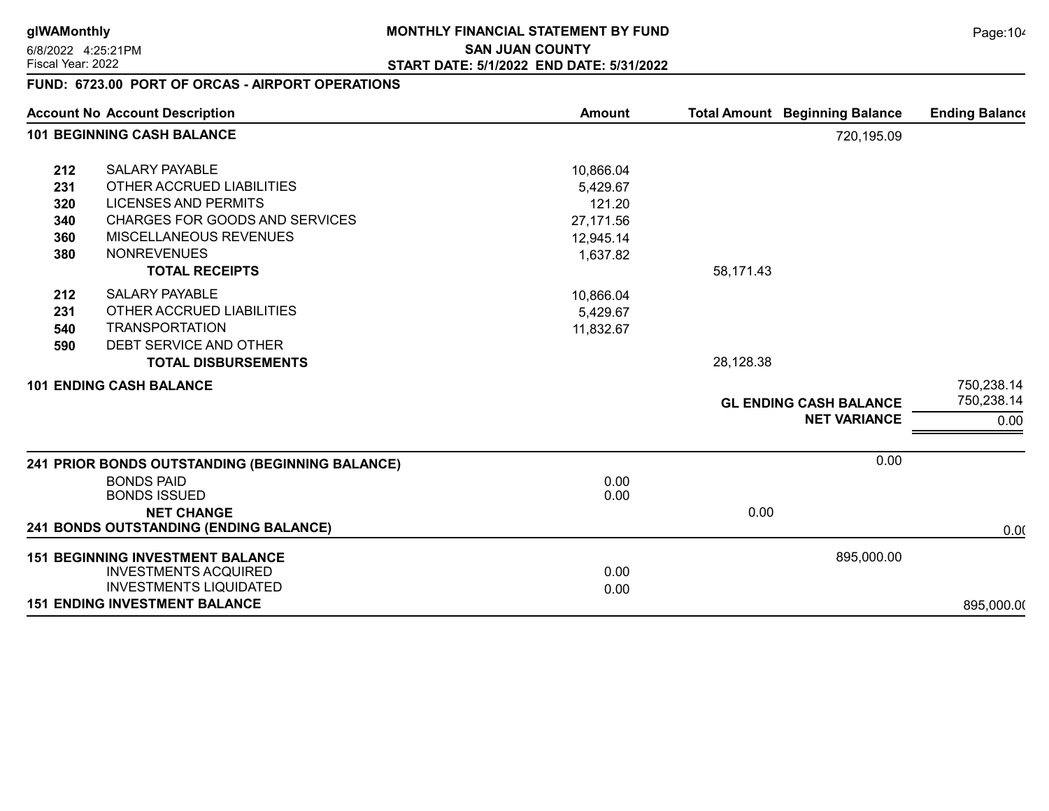6/8/2022 4:25:21PM

### **glWAMonthly** Page:104 **MONTHLY FINANCIAL STATEMENT BY FUND SAN JUAN COUNTY** Fiscal Year: 2022 **START DATE: 5/1/2022 END DATE: 5/31/2022**

# FUND: 6723.00 PORT OF ORCAS - AIRPORT OPERATIONS

| <b>Account No Account Description</b><br><b>101 BEGINNING CASH BALANCE</b> |                                                                                                                                               | <b>Amount</b>                                | <b>Total Amount Beginning Balance</b> | <b>Ending Balance</b>    |
|----------------------------------------------------------------------------|-----------------------------------------------------------------------------------------------------------------------------------------------|----------------------------------------------|---------------------------------------|--------------------------|
|                                                                            |                                                                                                                                               |                                              | 720,195.09                            |                          |
| 212<br>231                                                                 | <b>SALARY PAYABLE</b><br>OTHER ACCRUED LIABILITIES                                                                                            | 10,866.04<br>5,429.67                        |                                       |                          |
| 320<br>340<br>360<br>380                                                   | <b>LICENSES AND PERMITS</b><br><b>CHARGES FOR GOODS AND SERVICES</b><br>MISCELLANEOUS REVENUES<br><b>NONREVENUES</b><br><b>TOTAL RECEIPTS</b> | 121.20<br>27,171.56<br>12,945.14<br>1,637.82 | 58,171.43                             |                          |
| 212<br>231<br>540<br>590                                                   | <b>SALARY PAYABLE</b><br>OTHER ACCRUED LIABILITIES<br><b>TRANSPORTATION</b><br>DEBT SERVICE AND OTHER<br><b>TOTAL DISBURSEMENTS</b>           | 10,866.04<br>5,429.67<br>11,832.67           | 28,128.38                             |                          |
| <b>101 ENDING CASH BALANCE</b>                                             |                                                                                                                                               |                                              | <b>GL ENDING CASH BALANCE</b>         | 750,238.14<br>750,238.14 |
|                                                                            |                                                                                                                                               |                                              | <b>NET VARIANCE</b>                   | 0.00                     |
| 241 PRIOR BONDS OUTSTANDING (BEGINNING BALANCE)                            |                                                                                                                                               |                                              | 0.00                                  |                          |
|                                                                            | <b>BONDS PAID</b><br><b>BONDS ISSUED</b><br><b>NET CHANGE</b>                                                                                 | 0.00<br>0.00                                 | 0.00                                  |                          |
|                                                                            | <b>241 BONDS OUTSTANDING (ENDING BALANCE)</b>                                                                                                 |                                              |                                       | 0.00                     |
|                                                                            | <b>151 BEGINNING INVESTMENT BALANCE</b><br><b>INVESTMENTS ACQUIRED</b><br><b>INVESTMENTS LIQUIDATED</b>                                       | 0.00<br>0.00                                 | 895,000.00                            |                          |
|                                                                            | <b>151 ENDING INVESTMENT BALANCE</b>                                                                                                          |                                              |                                       | 895,000.00               |